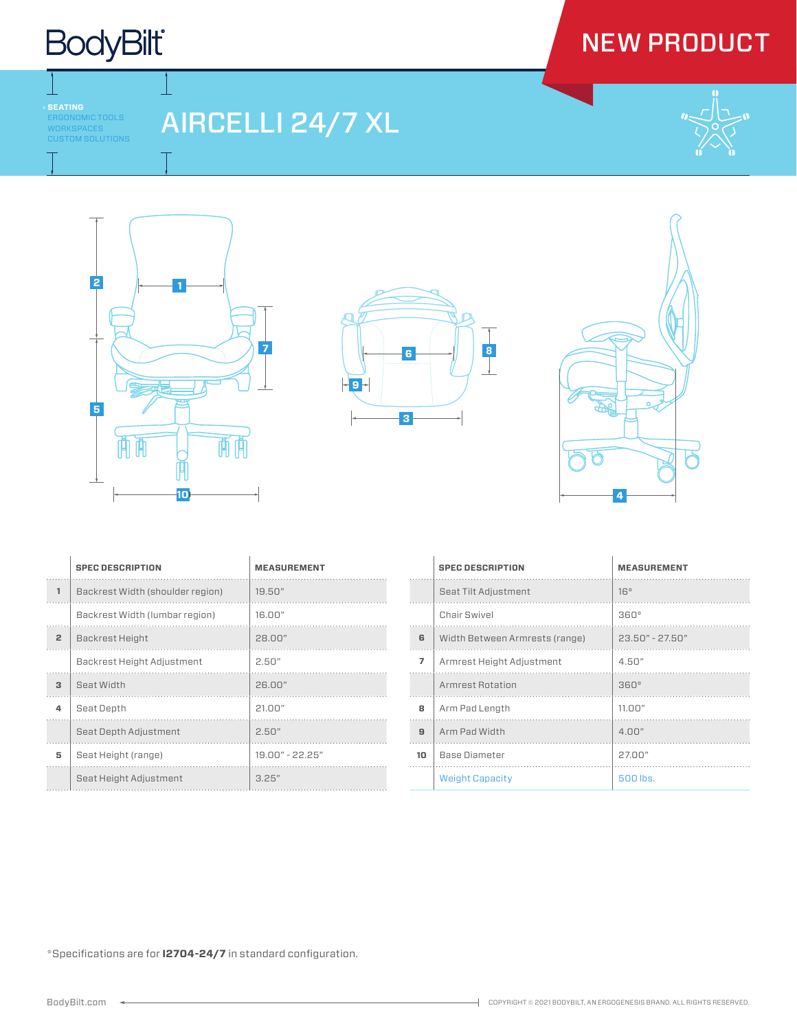## **BodyBilt**

## NEW PRODUCT

RGONOMIC TOOLS WORKSPACES CUSTOM SOLUTIONS

## AIRCELLI 24/7 XL









|                | <b>SPEC DESCRIPTION</b>          | <b>MEASUREMENT</b> |
|----------------|----------------------------------|--------------------|
| 1              | Backrest Width (shoulder region) | 19.50"             |
|                | Backrest Width (lumbar region)   | 16.00"             |
| $\overline{2}$ | Backrest Height                  | 28.00"             |
|                | Backrest Height Adjustment       | 2.50"              |
| 3              | Seat Width                       | 26.00"             |
| 4              | Seat Depth                       | 21.00"             |
|                | Seat Depth Adjustment            | 2.50"              |
| 5              | Seat Height (range)              | $19.00" - 22.25"$  |
|                | Seat Height Adjustment           | 3.25"              |

|                | <b>SPEC DESCRIPTION</b>        | <b>MEASUREMENT</b> |
|----------------|--------------------------------|--------------------|
|                | Seat Tilt Adjustment           | 16°                |
|                | Chair Swivel                   | $360^\circ$        |
| 6              | Width Between Armrests (range) | 23.50" - 27.50"    |
| $\overline{7}$ | Armrest Height Adjustment      | 4.50"              |
|                | <b>Armrest Rotation</b>        | $360^\circ$        |
| 8              | Arm Pad Length                 | 11.00"             |
| $\mathbf{a}$   | Arm Pad Width                  | 4.00"              |
| 10             | <b>Base Diameter</b>           | 27.00"             |
|                | <b>Weight Capacity</b>         | 500 lbs.           |

\*Specifications are for **I2704-24/7** in standard configuration.